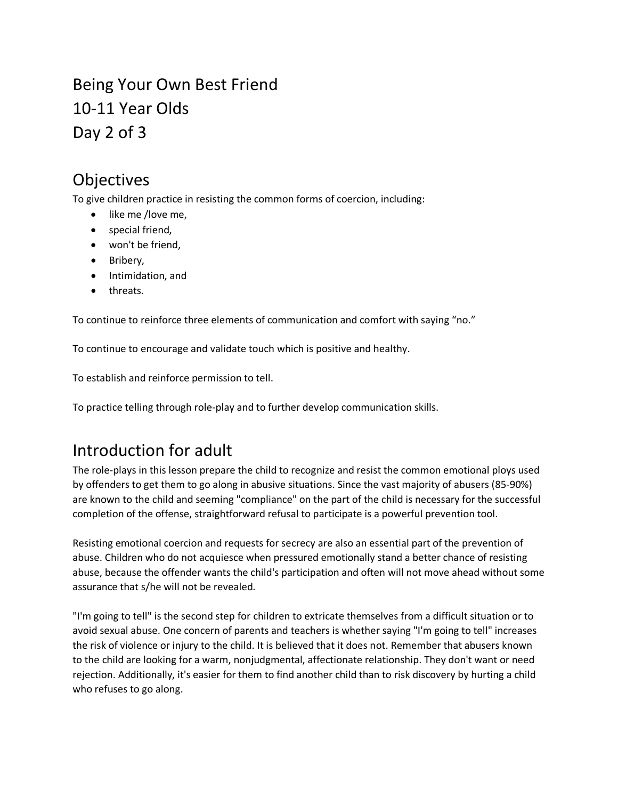Being Your Own Best Friend 10-11 Year Olds Day 2 of 3

### Objectives

To give children practice in resisting the common forms of coercion, including:

- like me /love me,
- special friend,
- won't be friend,
- Bribery,
- Intimidation, and
- threats.

To continue to reinforce three elements of communication and comfort with saying "no."

To continue to encourage and validate touch which is positive and healthy.

To establish and reinforce permission to tell.

To practice telling through role-play and to further develop communication skills.

# Introduction for adult

The role-plays in this lesson prepare the child to recognize and resist the common emotional ploys used by offenders to get them to go along in abusive situations. Since the vast majority of abusers (85-90%) are known to the child and seeming "compliance" on the part of the child is necessary for the successful completion of the offense, straightforward refusal to participate is a powerful prevention tool.

Resisting emotional coercion and requests for secrecy are also an essential part of the prevention of abuse. Children who do not acquiesce when pressured emotionally stand a better chance of resisting abuse, because the offender wants the child's participation and often will not move ahead without some assurance that s/he will not be revealed.

"I'm going to tell" is the second step for children to extricate themselves from a difficult situation or to avoid sexual abuse. One concern of parents and teachers is whether saying "I'm going to tell" increases the risk of violence or injury to the child. It is believed that it does not. Remember that abusers known to the child are looking for a warm, nonjudgmental, affectionate relationship. They don't want or need rejection. Additionally, it's easier for them to find another child than to risk discovery by hurting a child who refuses to go along.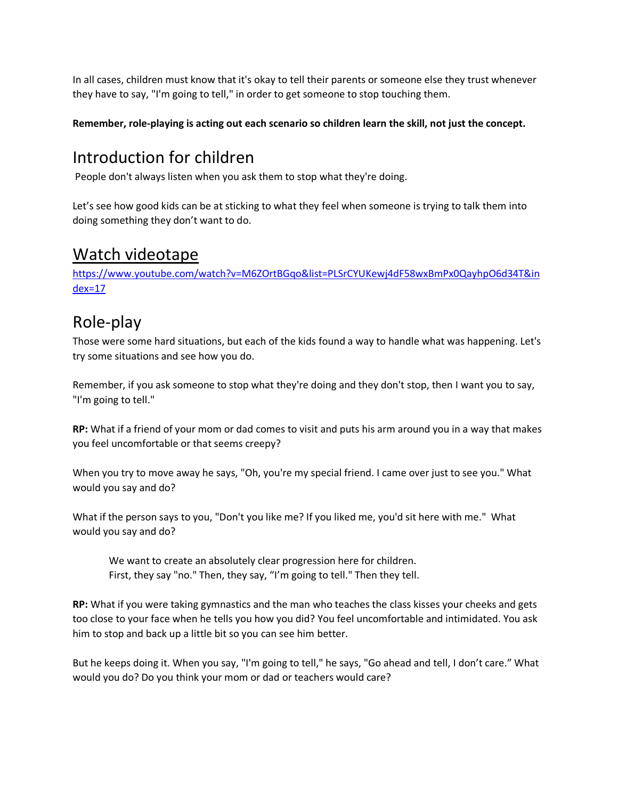In all cases, children must know that it's okay to tell their parents or someone else they trust whenever they have to say, "I'm going to tell," in order to get someone to stop touching them.

#### **Remember, role-playing is acting out each scenario so children learn the skill, not just the concept.**

## Introduction for children

People don't always listen when you ask them to stop what they're doing.

Let's see how good kids can be at sticking to what they feel when someone is trying to talk them into doing something they don't want to do.

#### Watch videotape

[https://www.youtube.com/watch?v=M6ZOrtBGqo&list=PLSrCYUKewj4dF58wxBmPx0QayhpO6d34T&in](https://www.youtube.com/watch?v=M6ZOrtBGqo&list=PLSrCYUKewj4dF58wxBmPx0QayhpO6d34T&index=17) [dex=17](https://www.youtube.com/watch?v=M6ZOrtBGqo&list=PLSrCYUKewj4dF58wxBmPx0QayhpO6d34T&index=17)

## Role-play

Those were some hard situations, but each of the kids found a way to handle what was happening. Let's try some situations and see how you do.

Remember, if you ask someone to stop what they're doing and they don't stop, then I want you to say, "I'm going to tell."

**RP:** What if a friend of your mom or dad comes to visit and puts his arm around you in a way that makes you feel uncomfortable or that seems creepy?

When you try to move away he says, "Oh, you're my special friend. I came over just to see you." What would you say and do?

What if the person says to you, "Don't you like me? If you liked me, you'd sit here with me." What would you say and do?

We want to create an absolutely clear progression here for children. First, they say "no." Then, they say, "I'm going to tell." Then they tell.

**RP:** What if you were taking gymnastics and the man who teaches the class kisses your cheeks and gets too close to your face when he tells you how you did? You feel uncomfortable and intimidated. You ask him to stop and back up a little bit so you can see him better.

But he keeps doing it. When you say, "I'm going to tell," he says, "Go ahead and tell, I don't care." What would you do? Do you think your mom or dad or teachers would care?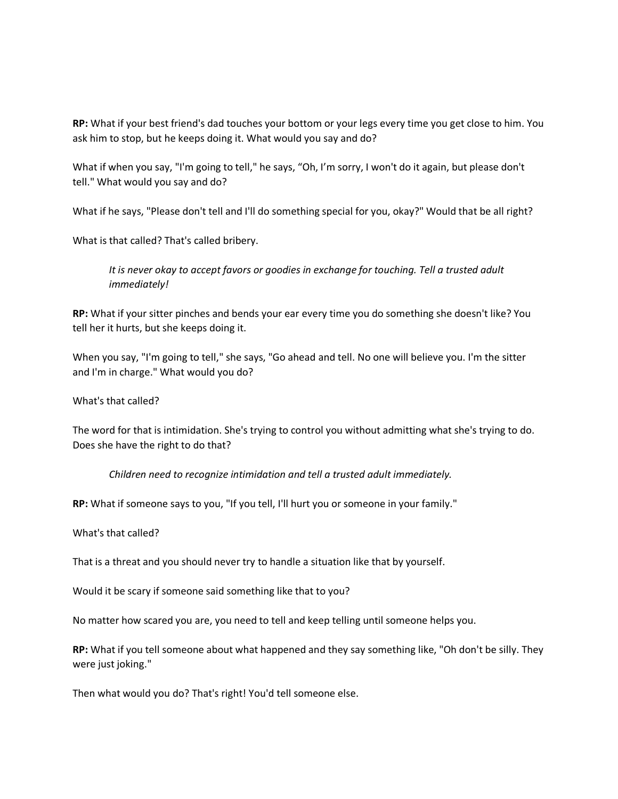**RP:** What if your best friend's dad touches your bottom or your legs every time you get close to him. You ask him to stop, but he keeps doing it. What would you say and do?

What if when you say, "I'm going to tell," he says, "Oh, I'm sorry, I won't do it again, but please don't tell." What would you say and do?

What if he says, "Please don't tell and I'll do something special for you, okay?" Would that be all right?

What is that called? That's called bribery.

*It is never okay to accept favors or goodies in exchange for touching. Tell a trusted adult immediately!* 

**RP:** What if your sitter pinches and bends your ear every time you do something she doesn't like? You tell her it hurts, but she keeps doing it.

When you say, "I'm going to tell," she says, "Go ahead and tell. No one will believe you. I'm the sitter and I'm in charge." What would you do?

What's that called?

The word for that is intimidation. She's trying to control you without admitting what she's trying to do. Does she have the right to do that?

*Children need to recognize intimidation and tell a trusted adult immediately.*

**RP:** What if someone says to you, "If you tell, I'll hurt you or someone in your family."

What's that called?

That is a threat and you should never try to handle a situation like that by yourself.

Would it be scary if someone said something like that to you?

No matter how scared you are, you need to tell and keep telling until someone helps you.

**RP:** What if you tell someone about what happened and they say something like, "Oh don't be silly. They were just joking."

Then what would you do? That's right! You'd tell someone else.